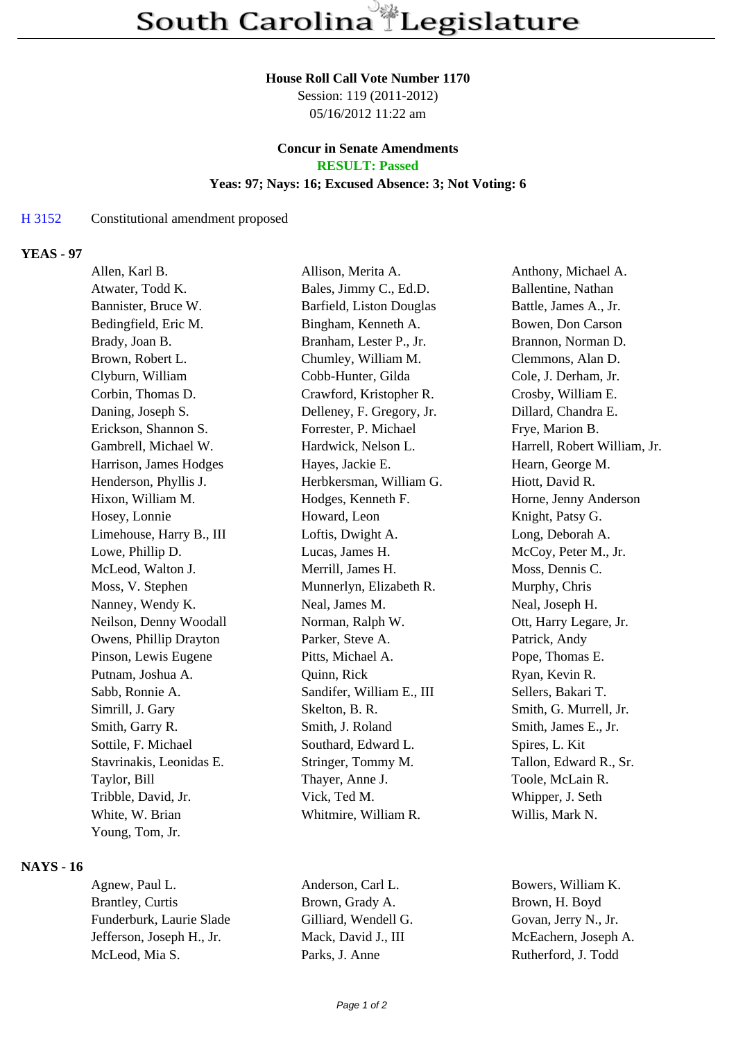#### **House Roll Call Vote Number 1170**

Session: 119 (2011-2012) 05/16/2012 11:22 am

### **Concur in Senate Amendments RESULT: Passed**

#### **Yeas: 97; Nays: 16; Excused Absence: 3; Not Voting: 6**

#### H 3152 Constitutional amendment proposed

### **YEAS - 97**

| Allen, Karl B.           | Allison, Merita A.        | Anthony, Michael A.          |
|--------------------------|---------------------------|------------------------------|
| Atwater, Todd K.         | Bales, Jimmy C., Ed.D.    | Ballentine, Nathan           |
| Bannister, Bruce W.      | Barfield, Liston Douglas  | Battle, James A., Jr.        |
| Bedingfield, Eric M.     | Bingham, Kenneth A.       | Bowen, Don Carson            |
| Brady, Joan B.           | Branham, Lester P., Jr.   | Brannon, Norman D.           |
| Brown, Robert L.         | Chumley, William M.       | Clemmons, Alan D.            |
| Clyburn, William         | Cobb-Hunter, Gilda        | Cole, J. Derham, Jr.         |
| Corbin, Thomas D.        | Crawford, Kristopher R.   | Crosby, William E.           |
| Daning, Joseph S.        | Delleney, F. Gregory, Jr. | Dillard, Chandra E.          |
| Erickson, Shannon S.     | Forrester, P. Michael     | Frye, Marion B.              |
| Gambrell, Michael W.     | Hardwick, Nelson L.       | Harrell, Robert William, Jr. |
| Harrison, James Hodges   | Hayes, Jackie E.          | Hearn, George M.             |
| Henderson, Phyllis J.    | Herbkersman, William G.   | Hiott, David R.              |
| Hixon, William M.        | Hodges, Kenneth F.        | Horne, Jenny Anderson        |
| Hosey, Lonnie            | Howard, Leon              | Knight, Patsy G.             |
| Limehouse, Harry B., III | Loftis, Dwight A.         | Long, Deborah A.             |
| Lowe, Phillip D.         | Lucas, James H.           | McCoy, Peter M., Jr.         |
| McLeod, Walton J.        | Merrill, James H.         | Moss, Dennis C.              |
| Moss, V. Stephen         | Munnerlyn, Elizabeth R.   | Murphy, Chris                |
| Nanney, Wendy K.         | Neal, James M.            | Neal, Joseph H.              |
| Neilson, Denny Woodall   | Norman, Ralph W.          | Ott, Harry Legare, Jr.       |
| Owens, Phillip Drayton   | Parker, Steve A.          | Patrick, Andy                |
| Pinson, Lewis Eugene     | Pitts, Michael A.         | Pope, Thomas E.              |
| Putnam, Joshua A.        | Quinn, Rick               | Ryan, Kevin R.               |
| Sabb, Ronnie A.          | Sandifer, William E., III | Sellers, Bakari T.           |
| Simrill, J. Gary         | Skelton, B. R.            | Smith, G. Murrell, Jr.       |
| Smith, Garry R.          | Smith, J. Roland          | Smith, James E., Jr.         |
| Sottile, F. Michael      | Southard, Edward L.       | Spires, L. Kit               |
| Stavrinakis, Leonidas E. | Stringer, Tommy M.        | Tallon, Edward R., Sr.       |
| Taylor, Bill             | Thayer, Anne J.           | Toole, McLain R.             |
| Tribble, David, Jr.      | Vick, Ted M.              | Whipper, J. Seth             |
| White, W. Brian          | Whitmire, William R.      | Willis, Mark N.              |
| Young, Tom, Jr.          |                           |                              |

## **NAYS - 16**

Agnew, Paul L. Anderson, Carl L. Bowers, William K. Brantley, Curtis Brown, Grady A. Brown, H. Boyd Funderburk, Laurie Slade Gilliard, Wendell G. Govan, Jerry N., Jr. Jefferson, Joseph H., Jr. Mack, David J., III McEachern, Joseph A. McLeod, Mia S. Parks, J. Anne Rutherford, J. Todd